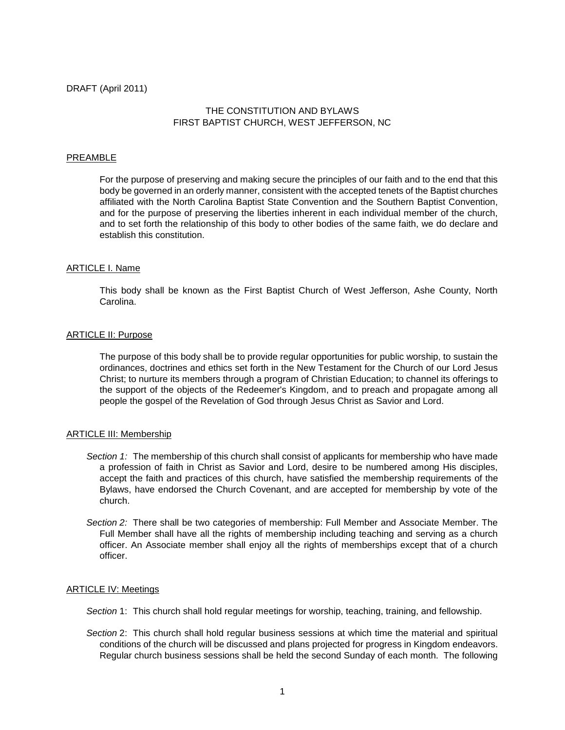# THE CONSTITUTION AND BYLAWS FIRST BAPTIST CHURCH, WEST JEFFERSON, NC

### PREAMBLE

For the purpose of preserving and making secure the principles of our faith and to the end that this body be governed in an orderly manner, consistent with the accepted tenets of the Baptist churches affiliated with the North Carolina Baptist State Convention and the Southern Baptist Convention, and for the purpose of preserving the liberties inherent in each individual member of the church, and to set forth the relationship of this body to other bodies of the same faith, we do declare and establish this constitution.

# ARTICLE I. Name

This body shall be known as the First Baptist Church of West Jefferson, Ashe County, North Carolina.

# **ARTICLE II: Purpose**

The purpose of this body shall be to provide regular opportunities for public worship, to sustain the ordinances, doctrines and ethics set forth in the New Testament for the Church of our Lord Jesus Christ; to nurture its members through a program of Christian Education; to channel its offerings to the support of the objects of the Redeemer's Kingdom, and to preach and propagate among all people the gospel of the Revelation of God through Jesus Christ as Savior and Lord.

#### **ARTICLE III: Membership**

- *Section 1:* The membership of this church shall consist of applicants for membership who have made a profession of faith in Christ as Savior and Lord, desire to be numbered among His disciples, accept the faith and practices of this church, have satisfied the membership requirements of the Bylaws, have endorsed the Church Covenant, and are accepted for membership by vote of the church.
- *Section 2:* There shall be two categories of membership: Full Member and Associate Member. The Full Member shall have all the rights of membership including teaching and serving as a church officer. An Associate member shall enjoy all the rights of memberships except that of a church officer.

#### ARTICLE IV: Meetings

*Section* 1: This church shall hold regular meetings for worship, teaching, training, and fellowship.

*Section* 2: This church shall hold regular business sessions at which time the material and spiritual conditions of the church will be discussed and plans projected for progress in Kingdom endeavors. Regular church business sessions shall be held the second Sunday of each month. The following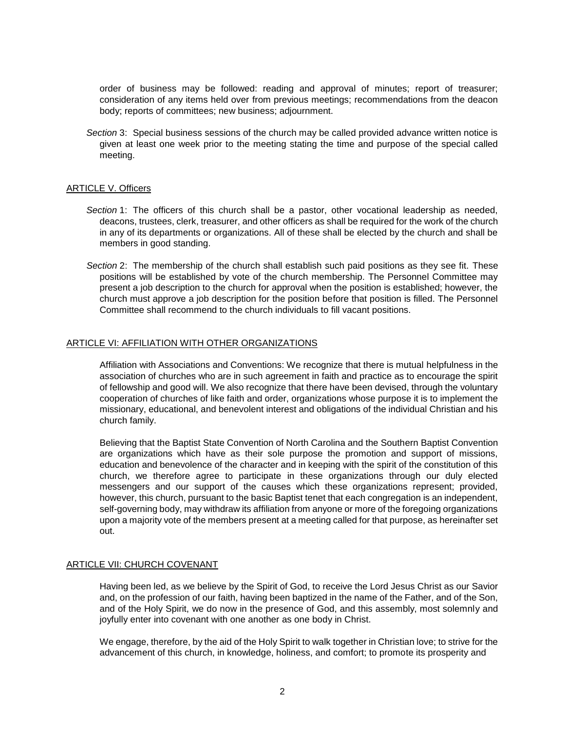order of business may be followed: reading and approval of minutes; report of treasurer; consideration of any items held over from previous meetings; recommendations from the deacon body; reports of committees; new business; adjournment.

*Section* 3: Special business sessions of the church may be called provided advance written notice is given at least one week prior to the meeting stating the time and purpose of the special called meeting.

# ARTICLE V. Officers

- *Section* 1: The officers of this church shall be a pastor, other vocational leadership as needed, deacons, trustees, clerk, treasurer, and other officers as shall be required for the work of the church in any of its departments or organizations. All of these shall be elected by the church and shall be members in good standing.
- *Section* 2: The membership of the church shall establish such paid positions as they see fit. These positions will be established by vote of the church membership. The Personnel Committee may present a job description to the church for approval when the position is established; however, the church must approve a job description for the position before that position is filled. The Personnel Committee shall recommend to the church individuals to fill vacant positions.

### ARTICLE VI: AFFILIATION WITH OTHER ORGANIZATIONS

Affiliation with Associations and Conventions: We recognize that there is mutual helpfulness in the association of churches who are in such agreement in faith and practice as to encourage the spirit of fellowship and good will. We also recognize that there have been devised, through the voluntary cooperation of churches of like faith and order, organizations whose purpose it is to implement the missionary, educational, and benevolent interest and obligations of the individual Christian and his church family.

Believing that the Baptist State Convention of North Carolina and the Southern Baptist Convention are organizations which have as their sole purpose the promotion and support of missions, education and benevolence of the character and in keeping with the spirit of the constitution of this church, we therefore agree to participate in these organizations through our duly elected messengers and our support of the causes which these organizations represent; provided, however, this church, pursuant to the basic Baptist tenet that each congregation is an independent, self-governing body, may withdraw its affiliation from anyone or more of the foregoing organizations upon a majority vote of the members present at a meeting called for that purpose, as hereinafter set out.

# ARTICLE VII: CHURCH COVENANT

Having been led, as we believe by the Spirit of God, to receive the Lord Jesus Christ as our Savior and, on the profession of our faith, having been baptized in the name of the Father, and of the Son, and of the Holy Spirit, we do now in the presence of God, and this assembly, most solemnly and joyfully enter into covenant with one another as one body in Christ.

We engage, therefore, by the aid of the Holy Spirit to walk together in Christian love; to strive for the advancement of this church, in knowledge, holiness, and comfort; to promote its prosperity and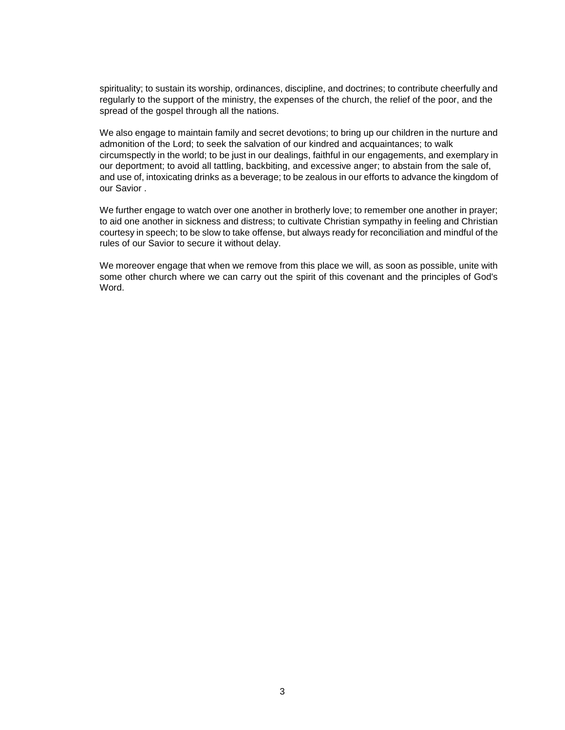spirituality; to sustain its worship, ordinances, discipline, and doctrines; to contribute cheerfully and regularly to the support of the ministry, the expenses of the church, the relief of the poor, and the spread of the gospel through all the nations.

We also engage to maintain family and secret devotions; to bring up our children in the nurture and admonition of the Lord; to seek the salvation of our kindred and acquaintances; to walk circumspectly in the world; to be just in our dealings, faithful in our engagements, and exemplary in our deportment; to avoid all tattling, backbiting, and excessive anger; to abstain from the sale of, and use of, intoxicating drinks as a beverage; to be zealous in our efforts to advance the kingdom of our Savior .

We further engage to watch over one another in brotherly love; to remember one another in prayer; to aid one another in sickness and distress; to cultivate Christian sympathy in feeling and Christian courtesy in speech; to be slow to take offense, but always ready for reconciliation and mindful of the rules of our Savior to secure it without delay.

We moreover engage that when we remove from this place we will, as soon as possible, unite with some other church where we can carry out the spirit of this covenant and the principles of God's Word.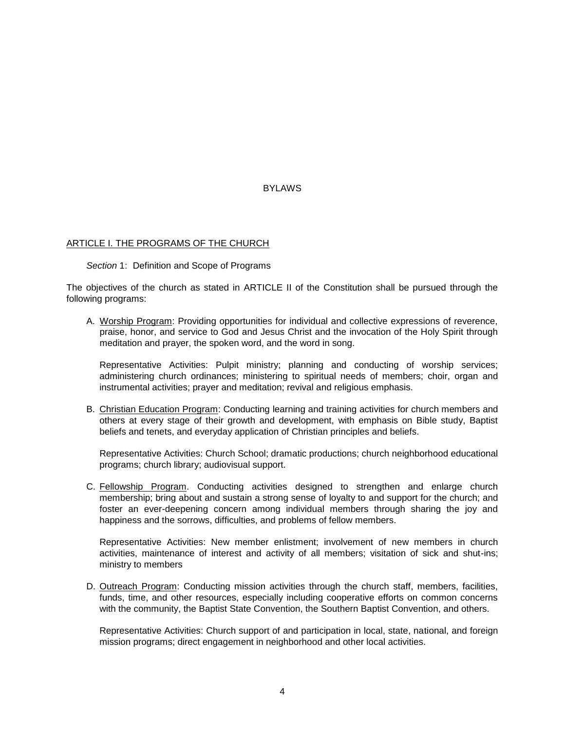# **BYLAWS**

### ARTICLE I. THE PROGRAMS OF THE CHURCH

*Section* 1: Definition and Scope of Programs

The objectives of the church as stated in ARTICLE II of the Constitution shall be pursued through the following programs:

A. Worship Program: Providing opportunities for individual and collective expressions of reverence, praise, honor, and service to God and Jesus Christ and the invocation of the Holy Spirit through meditation and prayer, the spoken word, and the word in song.

Representative Activities: Pulpit ministry; planning and conducting of worship services; administering church ordinances; ministering to spiritual needs of members; choir, organ and instrumental activities; prayer and meditation; revival and religious emphasis.

B. Christian Education Program: Conducting learning and training activities for church members and others at every stage of their growth and development, with emphasis on Bible study, Baptist beliefs and tenets, and everyday application of Christian principles and beliefs.

Representative Activities: Church School; dramatic productions; church neighborhood educational programs; church library; audiovisual support.

C. Fellowship Program. Conducting activities designed to strengthen and enlarge church membership; bring about and sustain a strong sense of loyalty to and support for the church; and foster an ever-deepening concern among individual members through sharing the joy and happiness and the sorrows, difficulties, and problems of fellow members.

Representative Activities: New member enlistment; involvement of new members in church activities, maintenance of interest and activity of all members; visitation of sick and shut-ins; ministry to members

D. Outreach Program: Conducting mission activities through the church staff, members, facilities, funds, time, and other resources, especially including cooperative efforts on common concerns with the community, the Baptist State Convention, the Southern Baptist Convention, and others.

Representative Activities: Church support of and participation in local, state, national, and foreign mission programs; direct engagement in neighborhood and other local activities.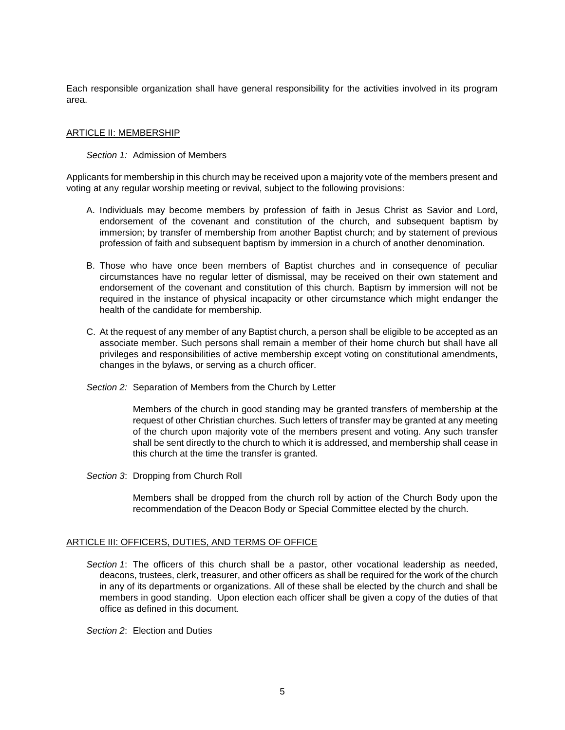Each responsible organization shall have general responsibility for the activities involved in its program area.

## ARTICLE II: MEMBERSHIP

## *Section 1:* Admission of Members

Applicants for membership in this church may be received upon a majority vote of the members present and voting at any regular worship meeting or revival, subject to the following provisions:

- A. Individuals may become members by profession of faith in Jesus Christ as Savior and Lord, endorsement of the covenant and constitution of the church, and subsequent baptism by immersion; by transfer of membership from another Baptist church; and by statement of previous profession of faith and subsequent baptism by immersion in a church of another denomination.
- B. Those who have once been members of Baptist churches and in consequence of peculiar circumstances have no regular letter of dismissal, may be received on their own statement and endorsement of the covenant and constitution of this church. Baptism by immersion will not be required in the instance of physical incapacity or other circumstance which might endanger the health of the candidate for membership.
- C. At the request of any member of any Baptist church, a person shall be eligible to be accepted as an associate member. Such persons shall remain a member of their home church but shall have all privileges and responsibilities of active membership except voting on constitutional amendments, changes in the bylaws, or serving as a church officer.
- *Section 2:* Separation of Members from the Church by Letter

Members of the church in good standing may be granted transfers of membership at the request of other Christian churches. Such letters of transfer may be granted at any meeting of the church upon majority vote of the members present and voting. Any such transfer shall be sent directly to the church to which it is addressed, and membership shall cease in this church at the time the transfer is granted.

*Section 3*: Dropping from Church Roll

Members shall be dropped from the church roll by action of the Church Body upon the recommendation of the Deacon Body or Special Committee elected by the church.

# ARTICLE III: OFFICERS, DUTIES, AND TERMS OF OFFICE

*Section 1*: The officers of this church shall be a pastor, other vocational leadership as needed, deacons, trustees, clerk, treasurer, and other officers as shall be required for the work of the church in any of its departments or organizations. All of these shall be elected by the church and shall be members in good standing. Upon election each officer shall be given a copy of the duties of that office as defined in this document.

*Section 2*: Election and Duties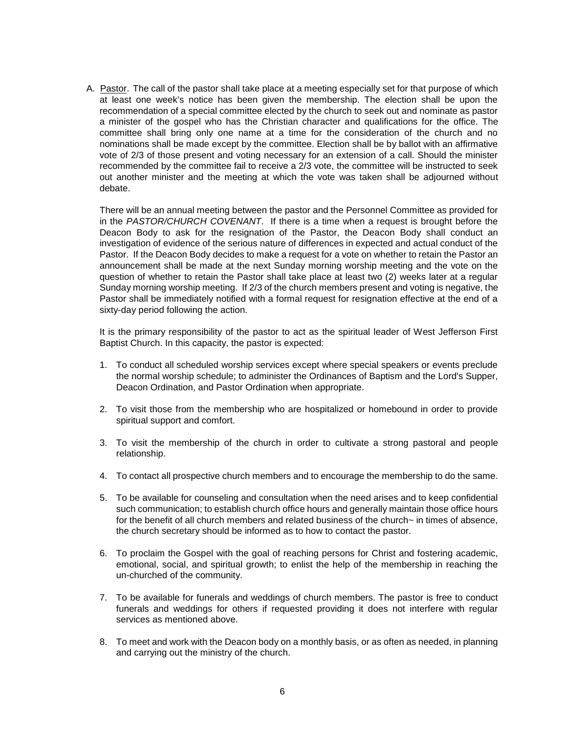A. Pastor. The call of the pastor shall take place at a meeting especially set for that purpose of which at least one week's notice has been given the membership. The election shall be upon the recommendation of a special committee elected by the church to seek out and nominate as pastor a minister of the gospel who has the Christian character and qualifications for the office. The committee shall bring only one name at a time for the consideration of the church and no nominations shall be made except by the committee. Election shall be by ballot with an affirmative vote of 2/3 of those present and voting necessary for an extension of a call. Should the minister recommended by the committee fail to receive a 2/3 vote, the committee will be instructed to seek out another minister and the meeting at which the vote was taken shall be adjourned without debate.

There will be an annual meeting between the pastor and the Personnel Committee as provided for in the *PASTOR/CHURCH COVENANT*. If there is a time when a request is brought before the Deacon Body to ask for the resignation of the Pastor, the Deacon Body shall conduct an investigation of evidence of the serious nature of differences in expected and actual conduct of the Pastor. If the Deacon Body decides to make a request for a vote on whether to retain the Pastor an announcement shall be made at the next Sunday morning worship meeting and the vote on the question of whether to retain the Pastor shall take place at least two (2) weeks later at a regular Sunday morning worship meeting. If 2/3 of the church members present and voting is negative, the Pastor shall be immediately notified with a formal request for resignation effective at the end of a sixty-day period following the action.

It is the primary responsibility of the pastor to act as the spiritual leader of West Jefferson First Baptist Church. In this capacity, the pastor is expected:

- 1. To conduct all scheduled worship services except where special speakers or events preclude the normal worship schedule; to administer the Ordinances of Baptism and the Lord's Supper, Deacon Ordination, and Pastor Ordination when appropriate.
- 2. To visit those from the membership who are hospitalized or homebound in order to provide spiritual support and comfort.
- 3. To visit the membership of the church in order to cultivate a strong pastoral and people relationship.
- 4. To contact all prospective church members and to encourage the membership to do the same.
- 5. To be available for counseling and consultation when the need arises and to keep confidential such communication; to establish church office hours and generally maintain those office hours for the benefit of all church members and related business of the church~ in times of absence, the church secretary should be informed as to how to contact the pastor.
- 6. To proclaim the Gospel with the goal of reaching persons for Christ and fostering academic, emotional, social, and spiritual growth; to enlist the help of the membership in reaching the un-churched of the community.
- 7. To be available for funerals and weddings of church members. The pastor is free to conduct funerals and weddings for others if requested providing it does not interfere with regular services as mentioned above.
- 8. To meet and work with the Deacon body on a monthly basis, or as often as needed, in planning and carrying out the ministry of the church.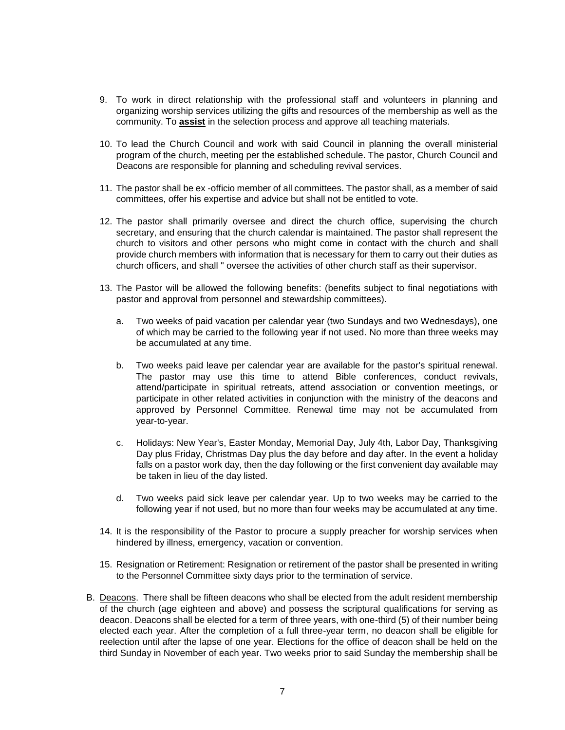- 9. To work in direct relationship with the professional staff and volunteers in planning and organizing worship services utilizing the gifts and resources of the membership as well as the community. To **assist** in the selection process and approve all teaching materials.
- 10. To lead the Church Council and work with said Council in planning the overall ministerial program of the church, meeting per the established schedule. The pastor, Church Council and Deacons are responsible for planning and scheduling revival services.
- 11. The pastor shall be ex -officio member of all committees. The pastor shall, as a member of said committees, offer his expertise and advice but shall not be entitled to vote.
- 12. The pastor shall primarily oversee and direct the church office, supervising the church secretary, and ensuring that the church calendar is maintained. The pastor shall represent the church to visitors and other persons who might come in contact with the church and shall provide church members with information that is necessary for them to carry out their duties as church officers, and shall " oversee the activities of other church staff as their supervisor.
- 13. The Pastor will be allowed the following benefits: (benefits subject to final negotiations with pastor and approval from personnel and stewardship committees).
	- a. Two weeks of paid vacation per calendar year (two Sundays and two Wednesdays), one of which may be carried to the following year if not used. No more than three weeks may be accumulated at any time.
	- b. Two weeks paid leave per calendar year are available for the pastor's spiritual renewal. The pastor may use this time to attend Bible conferences, conduct revivals, attend/participate in spiritual retreats, attend association or convention meetings, or participate in other related activities in conjunction with the ministry of the deacons and approved by Personnel Committee. Renewal time may not be accumulated from year-to-year.
	- c. Holidays: New Year's, Easter Monday, Memorial Day, July 4th, Labor Day, Thanksgiving Day plus Friday, Christmas Day plus the day before and day after. In the event a holiday falls on a pastor work day, then the day following or the first convenient day available may be taken in lieu of the day listed.
	- d. Two weeks paid sick leave per calendar year. Up to two weeks may be carried to the following year if not used, but no more than four weeks may be accumulated at any time.
- 14. It is the responsibility of the Pastor to procure a supply preacher for worship services when hindered by illness, emergency, vacation or convention.
- 15. Resignation or Retirement: Resignation or retirement of the pastor shall be presented in writing to the Personnel Committee sixty days prior to the termination of service.
- B. Deacons. There shall be fifteen deacons who shall be elected from the adult resident membership of the church (age eighteen and above) and possess the scriptural qualifications for serving as deacon. Deacons shall be elected for a term of three years, with one-third (5) of their number being elected each year. After the completion of a full three-year term, no deacon shall be eligible for reelection until after the lapse of one year. Elections for the office of deacon shall be held on the third Sunday in November of each year. Two weeks prior to said Sunday the membership shall be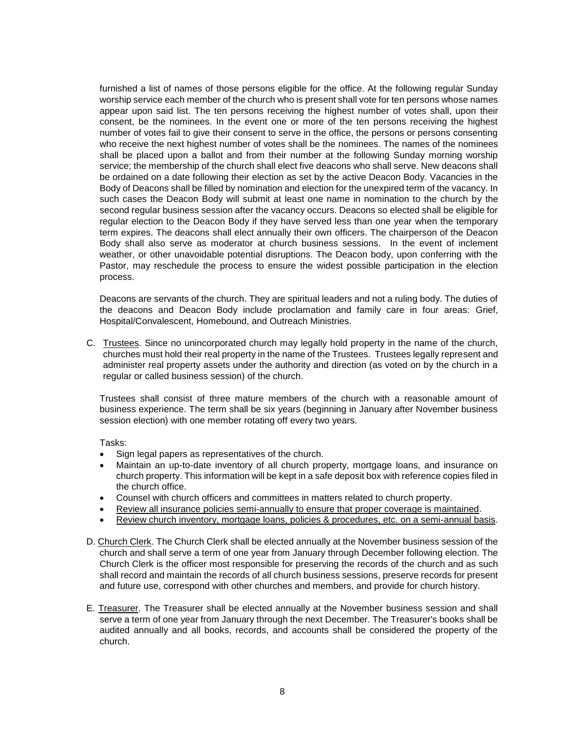furnished a list of names of those persons eligible for the office. At the following regular Sunday worship service each member of the church who is present shall vote for ten persons whose names appear upon said list. The ten persons receiving the highest number of votes shall, upon their consent, be the nominees. In the event one or more of the ten persons receiving the highest number of votes fail to give their consent to serve in the office, the persons or persons consenting who receive the next highest number of votes shall be the nominees. The names of the nominees shall be placed upon a ballot and from their number at the following Sunday morning worship service; the membership of the church shall elect five deacons who shall serve. New deacons shall be ordained on a date following their election as set by the active Deacon Body. Vacancies in the Body of Deacons shall be filled by nomination and election for the unexpired term of the vacancy. In such cases the Deacon Body will submit at least one name in nomination to the church by the second regular business session after the vacancy occurs. Deacons so elected shall be eligible for regular election to the Deacon Body if they have served less than one year when the temporary term expires. The deacons shall elect annually their own officers. The chairperson of the Deacon Body shall also serve as moderator at church business sessions. In the event of inclement weather, or other unavoidable potential disruptions. The Deacon body, upon conferring with the Pastor, may reschedule the process to ensure the widest possible participation in the election process.

Deacons are servants of the church. They are spiritual leaders and not a ruling body. The duties of the deacons and Deacon Body include proclamation and family care in four areas: Grief, Hospital/Convalescent, Homebound, and Outreach Ministries.

C. Trustees. Since no unincorporated church may legally hold property in the name of the church, churches must hold their real property in the name of the Trustees. Trustees legally represent and administer real property assets under the authority and direction (as voted on by the church in a regular or called business session) of the church.

Trustees shall consist of three mature members of the church with a reasonable amount of business experience. The term shall be six years (beginning in January after November business session election) with one member rotating off every two years.

- Sign legal papers as representatives of the church.
- Maintain an up-to-date inventory of all church property, mortgage loans, and insurance on church property. This information will be kept in a safe deposit box with reference copies filed in the church office.
- Counsel with church officers and committees in matters related to church property.
- Review all insurance policies semi-annually to ensure that proper coverage is maintained.
- Review church inventory, mortgage loans, policies & procedures, etc. on a semi-annual basis.
- D. Church Clerk. The Church Clerk shall be elected annually at the November business session of the church and shall serve a term of one year from January through December following election. The Church Clerk is the officer most responsible for preserving the records of the church and as such shall record and maintain the records of all church business sessions, preserve records for present and future use, correspond with other churches and members, and provide for church history.
- E. Treasurer. The Treasurer shall be elected annually at the November business session and shall serve a term of one year from January through the next December. The Treasurer's books shall be audited annually and all books, records, and accounts shall be considered the property of the church.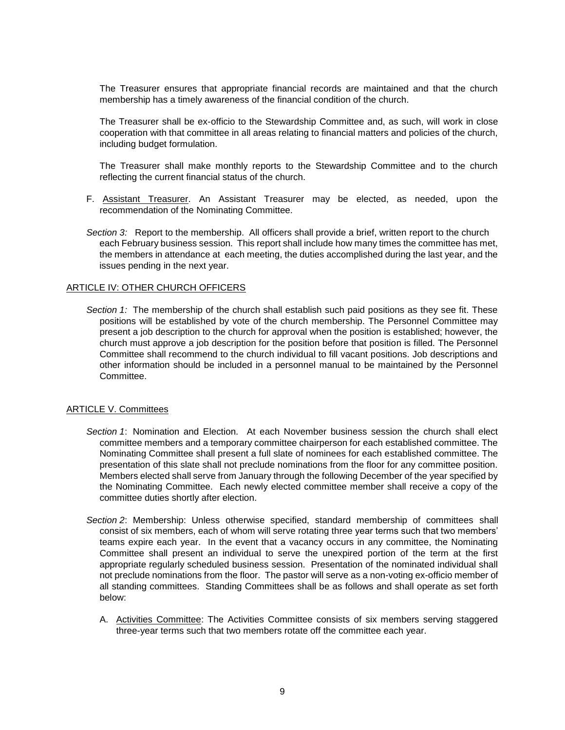The Treasurer ensures that appropriate financial records are maintained and that the church membership has a timely awareness of the financial condition of the church.

The Treasurer shall be ex-officio to the Stewardship Committee and, as such, will work in close cooperation with that committee in all areas relating to financial matters and policies of the church, including budget formulation.

The Treasurer shall make monthly reports to the Stewardship Committee and to the church reflecting the current financial status of the church.

- F. Assistant Treasurer. An Assistant Treasurer may be elected, as needed, upon the recommendation of the Nominating Committee.
- *Section 3:* Report to the membership. All officers shall provide a brief, written report to the church each February business session. This report shall include how many times the committee has met, the members in attendance at each meeting, the duties accomplished during the last year, and the issues pending in the next year.

### ARTICLE IV: OTHER CHURCH OFFICERS

*Section 1:* The membership of the church shall establish such paid positions as they see fit. These positions will be established by vote of the church membership. The Personnel Committee may present a job description to the church for approval when the position is established; however, the church must approve a job description for the position before that position is filled. The Personnel Committee shall recommend to the church individual to fill vacant positions. Job descriptions and other information should be included in a personnel manual to be maintained by the Personnel Committee.

#### ARTICLE V. Committees

- *Section 1*: Nomination and Election. At each November business session the church shall elect committee members and a temporary committee chairperson for each established committee. The Nominating Committee shall present a full slate of nominees for each established committee. The presentation of this slate shall not preclude nominations from the floor for any committee position. Members elected shall serve from January through the following December of the year specified by the Nominating Committee. Each newly elected committee member shall receive a copy of the committee duties shortly after election.
- *Section 2*: Membership: Unless otherwise specified, standard membership of committees shall consist of six members, each of whom will serve rotating three year terms such that two members' teams expire each year. In the event that a vacancy occurs in any committee, the Nominating Committee shall present an individual to serve the unexpired portion of the term at the first appropriate regularly scheduled business session. Presentation of the nominated individual shall not preclude nominations from the floor. The pastor will serve as a non-voting ex-officio member of all standing committees. Standing Committees shall be as follows and shall operate as set forth below:
	- A. Activities Committee: The Activities Committee consists of six members serving staggered three-year terms such that two members rotate off the committee each year.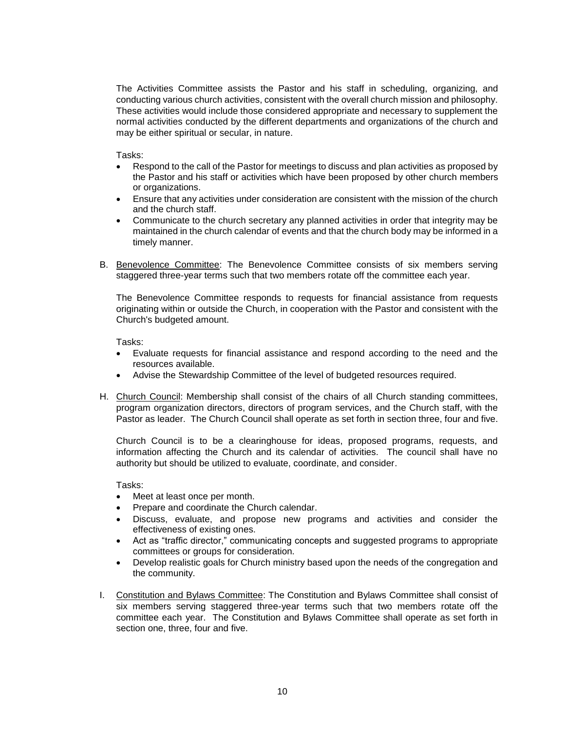The Activities Committee assists the Pastor and his staff in scheduling, organizing, and conducting various church activities, consistent with the overall church mission and philosophy. These activities would include those considered appropriate and necessary to supplement the normal activities conducted by the different departments and organizations of the church and may be either spiritual or secular, in nature.

Tasks:

- Respond to the call of the Pastor for meetings to discuss and plan activities as proposed by the Pastor and his staff or activities which have been proposed by other church members or organizations.
- Ensure that any activities under consideration are consistent with the mission of the church and the church staff.
- Communicate to the church secretary any planned activities in order that integrity may be maintained in the church calendar of events and that the church body may be informed in a timely manner.
- B. Benevolence Committee: The Benevolence Committee consists of six members serving staggered three-year terms such that two members rotate off the committee each year.

The Benevolence Committee responds to requests for financial assistance from requests originating within or outside the Church, in cooperation with the Pastor and consistent with the Church's budgeted amount.

Tasks:

- Evaluate requests for financial assistance and respond according to the need and the resources available.
- Advise the Stewardship Committee of the level of budgeted resources required.
- H. Church Council: Membership shall consist of the chairs of all Church standing committees, program organization directors, directors of program services, and the Church staff, with the Pastor as leader. The Church Council shall operate as set forth in section three, four and five.

Church Council is to be a clearinghouse for ideas, proposed programs, requests, and information affecting the Church and its calendar of activities. The council shall have no authority but should be utilized to evaluate, coordinate, and consider.

- Meet at least once per month.
- Prepare and coordinate the Church calendar.
- Discuss, evaluate, and propose new programs and activities and consider the effectiveness of existing ones.
- Act as "traffic director," communicating concepts and suggested programs to appropriate committees or groups for consideration.
- Develop realistic goals for Church ministry based upon the needs of the congregation and the community.
- I. Constitution and Bylaws Committee: The Constitution and Bylaws Committee shall consist of six members serving staggered three-year terms such that two members rotate off the committee each year. The Constitution and Bylaws Committee shall operate as set forth in section one, three, four and five.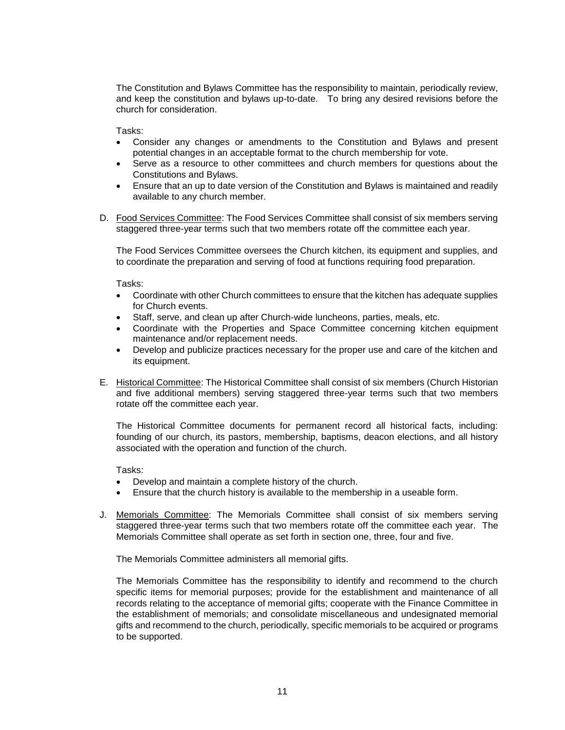The Constitution and Bylaws Committee has the responsibility to maintain, periodically review, and keep the constitution and bylaws up-to-date. To bring any desired revisions before the church for consideration.

Tasks:

- Consider any changes or amendments to the Constitution and Bylaws and present potential changes in an acceptable format to the church membership for vote.
- Serve as a resource to other committees and church members for questions about the Constitutions and Bylaws.
- Ensure that an up to date version of the Constitution and Bylaws is maintained and readily available to any church member.
- D. Food Services Committee: The Food Services Committee shall consist of six members serving staggered three-year terms such that two members rotate off the committee each year.

The Food Services Committee oversees the Church kitchen, its equipment and supplies, and to coordinate the preparation and serving of food at functions requiring food preparation.

Tasks:

- Coordinate with other Church committees to ensure that the kitchen has adequate supplies for Church events.
- Staff, serve, and clean up after Church-wide luncheons, parties, meals, etc.
- Coordinate with the Properties and Space Committee concerning kitchen equipment maintenance and/or replacement needs.
- Develop and publicize practices necessary for the proper use and care of the kitchen and its equipment.
- E. Historical Committee: The Historical Committee shall consist of six members (Church Historian and five additional members) serving staggered three-year terms such that two members rotate off the committee each year.

The Historical Committee documents for permanent record all historical facts, including: founding of our church, its pastors, membership, baptisms, deacon elections, and all history associated with the operation and function of the church.

Tasks:

- Develop and maintain a complete history of the church.
- Ensure that the church history is available to the membership in a useable form.
- J. Memorials Committee: The Memorials Committee shall consist of six members serving staggered three-year terms such that two members rotate off the committee each year. The Memorials Committee shall operate as set forth in section one, three, four and five.

The Memorials Committee administers all memorial gifts.

The Memorials Committee has the responsibility to identify and recommend to the church specific items for memorial purposes; provide for the establishment and maintenance of all records relating to the acceptance of memorial gifts; cooperate with the Finance Committee in the establishment of memorials; and consolidate miscellaneous and undesignated memorial gifts and recommend to the church, periodically, specific memorials to be acquired or programs to be supported.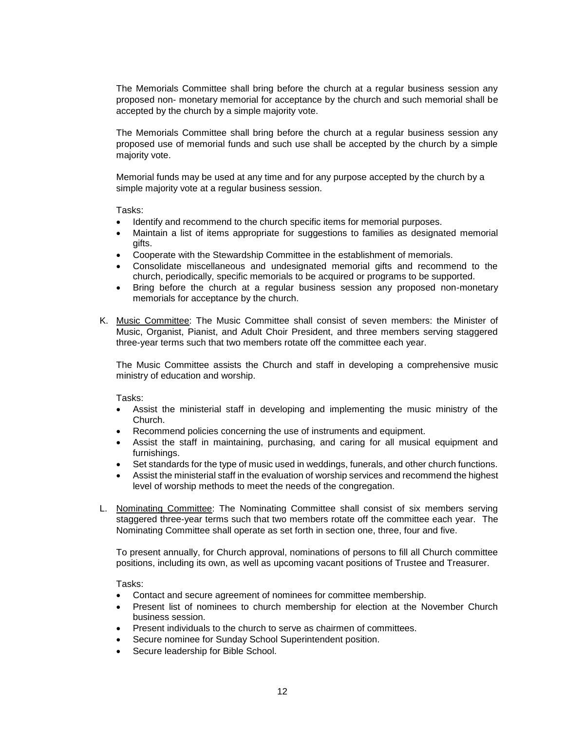The Memorials Committee shall bring before the church at a regular business session any proposed non- monetary memorial for acceptance by the church and such memorial shall be accepted by the church by a simple majority vote.

The Memorials Committee shall bring before the church at a regular business session any proposed use of memorial funds and such use shall be accepted by the church by a simple majority vote.

Memorial funds may be used at any time and for any purpose accepted by the church by a simple majority vote at a regular business session.

Tasks:

- Identify and recommend to the church specific items for memorial purposes.
- Maintain a list of items appropriate for suggestions to families as designated memorial gifts.
- Cooperate with the Stewardship Committee in the establishment of memorials.
- Consolidate miscellaneous and undesignated memorial gifts and recommend to the church, periodically, specific memorials to be acquired or programs to be supported.
- Bring before the church at a regular business session any proposed non-monetary memorials for acceptance by the church.
- K. Music Committee: The Music Committee shall consist of seven members: the Minister of Music, Organist, Pianist, and Adult Choir President, and three members serving staggered three-year terms such that two members rotate off the committee each year.

The Music Committee assists the Church and staff in developing a comprehensive music ministry of education and worship.

Tasks:

- Assist the ministerial staff in developing and implementing the music ministry of the Church.
- Recommend policies concerning the use of instruments and equipment.
- Assist the staff in maintaining, purchasing, and caring for all musical equipment and furnishings.
- Set standards for the type of music used in weddings, funerals, and other church functions.
- Assist the ministerial staff in the evaluation of worship services and recommend the highest level of worship methods to meet the needs of the congregation.
- L. Nominating Committee: The Nominating Committee shall consist of six members serving staggered three-year terms such that two members rotate off the committee each year. The Nominating Committee shall operate as set forth in section one, three, four and five.

To present annually, for Church approval, nominations of persons to fill all Church committee positions, including its own, as well as upcoming vacant positions of Trustee and Treasurer.

- Contact and secure agreement of nominees for committee membership.
- Present list of nominees to church membership for election at the November Church business session.
- Present individuals to the church to serve as chairmen of committees.
- Secure nominee for Sunday School Superintendent position.
- Secure leadership for Bible School.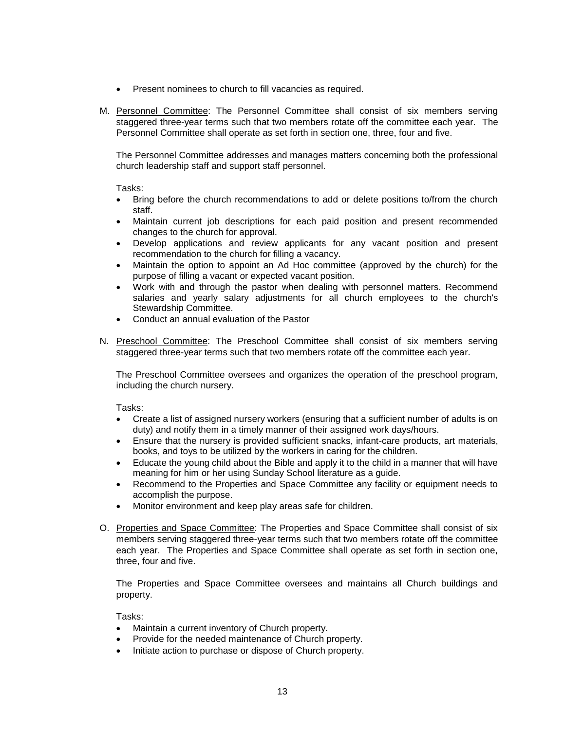- Present nominees to church to fill vacancies as required.
- M. Personnel Committee: The Personnel Committee shall consist of six members serving staggered three-year terms such that two members rotate off the committee each year. The Personnel Committee shall operate as set forth in section one, three, four and five.

The Personnel Committee addresses and manages matters concerning both the professional church leadership staff and support staff personnel.

Tasks:

- Bring before the church recommendations to add or delete positions to/from the church staff.
- Maintain current job descriptions for each paid position and present recommended changes to the church for approval.
- Develop applications and review applicants for any vacant position and present recommendation to the church for filling a vacancy.
- Maintain the option to appoint an Ad Hoc committee (approved by the church) for the purpose of filling a vacant or expected vacant position.
- Work with and through the pastor when dealing with personnel matters. Recommend salaries and yearly salary adjustments for all church employees to the church's Stewardship Committee.
- Conduct an annual evaluation of the Pastor
- N. Preschool Committee: The Preschool Committee shall consist of six members serving staggered three-year terms such that two members rotate off the committee each year.

The Preschool Committee oversees and organizes the operation of the preschool program, including the church nursery.

Tasks:

- Create a list of assigned nursery workers (ensuring that a sufficient number of adults is on duty) and notify them in a timely manner of their assigned work days/hours.
- Ensure that the nursery is provided sufficient snacks, infant-care products, art materials, books, and toys to be utilized by the workers in caring for the children.
- Educate the young child about the Bible and apply it to the child in a manner that will have meaning for him or her using Sunday School literature as a guide.
- Recommend to the Properties and Space Committee any facility or equipment needs to accomplish the purpose.
- Monitor environment and keep play areas safe for children.
- O. Properties and Space Committee: The Properties and Space Committee shall consist of six members serving staggered three-year terms such that two members rotate off the committee each year. The Properties and Space Committee shall operate as set forth in section one, three, four and five.

The Properties and Space Committee oversees and maintains all Church buildings and property.

- Maintain a current inventory of Church property.
- Provide for the needed maintenance of Church property.
- Initiate action to purchase or dispose of Church property.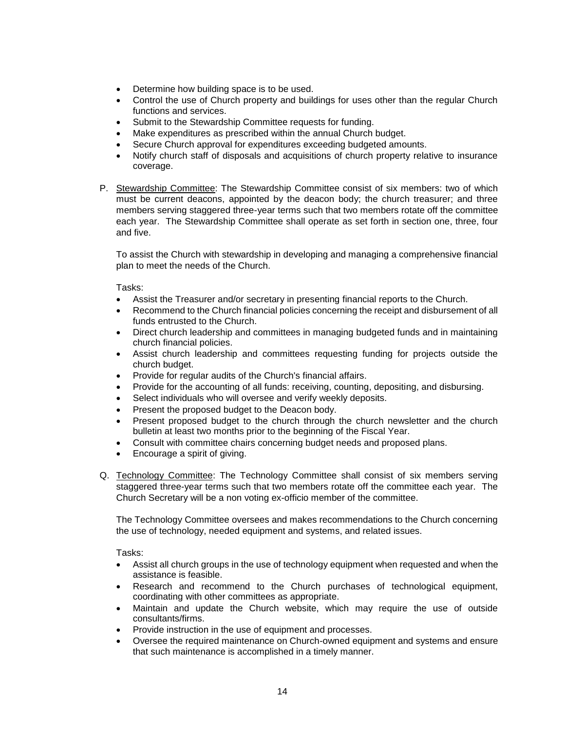- Determine how building space is to be used.
- Control the use of Church property and buildings for uses other than the regular Church functions and services.
- Submit to the Stewardship Committee requests for funding.
- Make expenditures as prescribed within the annual Church budget.
- Secure Church approval for expenditures exceeding budgeted amounts.
- Notify church staff of disposals and acquisitions of church property relative to insurance coverage.
- P. Stewardship Committee: The Stewardship Committee consist of six members: two of which must be current deacons, appointed by the deacon body; the church treasurer; and three members serving staggered three-year terms such that two members rotate off the committee each year. The Stewardship Committee shall operate as set forth in section one, three, four and five.

To assist the Church with stewardship in developing and managing a comprehensive financial plan to meet the needs of the Church.

Tasks:

- Assist the Treasurer and/or secretary in presenting financial reports to the Church.
- Recommend to the Church financial policies concerning the receipt and disbursement of all funds entrusted to the Church.
- Direct church leadership and committees in managing budgeted funds and in maintaining church financial policies.
- Assist church leadership and committees requesting funding for projects outside the church budget.
- Provide for regular audits of the Church's financial affairs.
- Provide for the accounting of all funds: receiving, counting, depositing, and disbursing.
- Select individuals who will oversee and verify weekly deposits.
- Present the proposed budget to the Deacon body.
- Present proposed budget to the church through the church newsletter and the church bulletin at least two months prior to the beginning of the Fiscal Year.
- Consult with committee chairs concerning budget needs and proposed plans.
- Encourage a spirit of giving.
- Q. Technology Committee: The Technology Committee shall consist of six members serving staggered three-year terms such that two members rotate off the committee each year. The Church Secretary will be a non voting ex-officio member of the committee.

The Technology Committee oversees and makes recommendations to the Church concerning the use of technology, needed equipment and systems, and related issues.

- Assist all church groups in the use of technology equipment when requested and when the assistance is feasible.
- Research and recommend to the Church purchases of technological equipment, coordinating with other committees as appropriate.
- Maintain and update the Church website, which may require the use of outside consultants/firms.
- Provide instruction in the use of equipment and processes.
- Oversee the required maintenance on Church-owned equipment and systems and ensure that such maintenance is accomplished in a timely manner.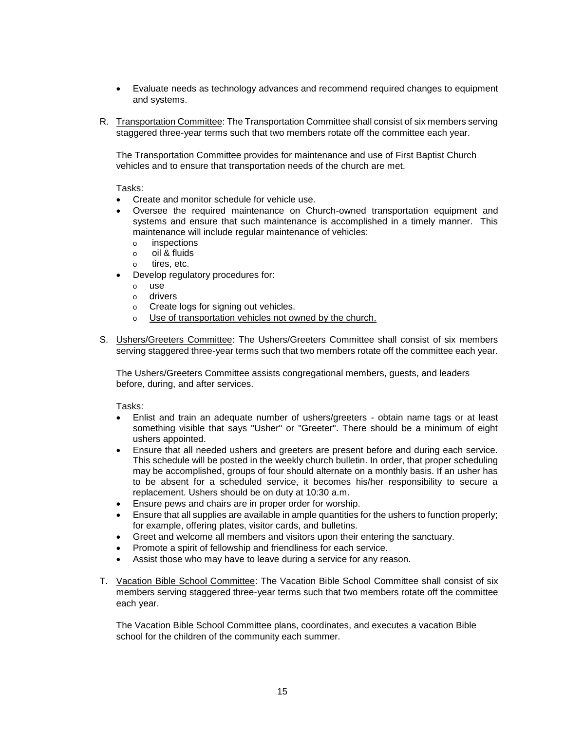- Evaluate needs as technology advances and recommend required changes to equipment and systems.
- R. Transportation Committee: The Transportation Committee shall consist of six members serving staggered three-year terms such that two members rotate off the committee each year.

The Transportation Committee provides for maintenance and use of First Baptist Church vehicles and to ensure that transportation needs of the church are met.

Tasks:

- Create and monitor schedule for vehicle use.
- Oversee the required maintenance on Church-owned transportation equipment and systems and ensure that such maintenance is accomplished in a timely manner. This maintenance will include regular maintenance of vehicles:
	- o inspections
	- o oil & fluids
	- o tires, etc.
- Develop regulatory procedures for:
	- o use
	- o drivers
	- o Create logs for signing out vehicles.
	- o Use of transportation vehicles not owned by the church.
- S. Ushers/Greeters Committee: The Ushers/Greeters Committee shall consist of six members serving staggered three-year terms such that two members rotate off the committee each year.

The Ushers/Greeters Committee assists congregational members, guests, and leaders before, during, and after services.

Tasks:

- Enlist and train an adequate number of ushers/greeters obtain name tags or at least something visible that says "Usher" or "Greeter". There should be a minimum of eight ushers appointed.
- Ensure that all needed ushers and greeters are present before and during each service. This schedule will be posted in the weekly church bulletin. In order, that proper scheduling may be accomplished, groups of four should alternate on a monthly basis. If an usher has to be absent for a scheduled service, it becomes his/her responsibility to secure a replacement. Ushers should be on duty at 10:30 a.m.
- Ensure pews and chairs are in proper order for worship.
- Ensure that all supplies are available in ample quantities for the ushers to function properly; for example, offering plates, visitor cards, and bulletins.
- Greet and welcome all members and visitors upon their entering the sanctuary.
- Promote a spirit of fellowship and friendliness for each service.
- Assist those who may have to leave during a service for any reason.
- T. Vacation Bible School Committee: The Vacation Bible School Committee shall consist of six members serving staggered three-year terms such that two members rotate off the committee each year.

The Vacation Bible School Committee plans, coordinates, and executes a vacation Bible school for the children of the community each summer.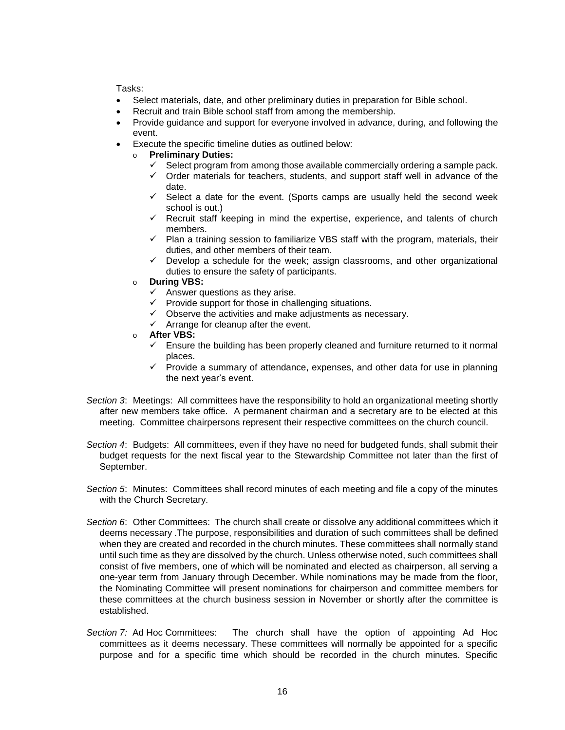- Select materials, date, and other preliminary duties in preparation for Bible school.
- Recruit and train Bible school staff from among the membership.
- Provide guidance and support for everyone involved in advance, during, and following the event.
- Execute the specific timeline duties as outlined below:
	- o **Preliminary Duties:**
		- $\checkmark$  Select program from among those available commercially ordering a sample pack.
		- $\checkmark$  Order materials for teachers, students, and support staff well in advance of the date.
		- $\checkmark$  Select a date for the event. (Sports camps are usually held the second week school is out.)
		- $\checkmark$  Recruit staff keeping in mind the expertise, experience, and talents of church members.
		- $\checkmark$  Plan a training session to familiarize VBS staff with the program, materials, their duties, and other members of their team.
		- $\checkmark$  Develop a schedule for the week; assign classrooms, and other organizational duties to ensure the safety of participants.
	- o **During VBS:**
		- $\checkmark$  Answer questions as they arise.
		- $\checkmark$  Provide support for those in challenging situations.
		- $\checkmark$  Observe the activities and make adjustments as necessary.
		- $\checkmark$  Arrange for cleanup after the event.
	- o **After VBS:**
		- $\checkmark$  Ensure the building has been properly cleaned and furniture returned to it normal places.
		- $\checkmark$  Provide a summary of attendance, expenses, and other data for use in planning the next year's event.
- *Section 3*: Meetings: All committees have the responsibility to hold an organizational meeting shortly after new members take office. A permanent chairman and a secretary are to be elected at this meeting. Committee chairpersons represent their respective committees on the church council.
- *Section 4*: Budgets: All committees, even if they have no need for budgeted funds, shall submit their budget requests for the next fiscal year to the Stewardship Committee not later than the first of September.
- *Section 5*: Minutes: Committees shall record minutes of each meeting and file a copy of the minutes with the Church Secretary.
- *Section 6*: Other Committees: The church shall create or dissolve any additional committees which it deems necessary .The purpose, responsibilities and duration of such committees shall be defined when they are created and recorded in the church minutes. These committees shall normally stand until such time as they are dissolved by the church. Unless otherwise noted, such committees shall consist of five members, one of which will be nominated and elected as chairperson, all serving a one-year term from January through December. While nominations may be made from the floor, the Nominating Committee will present nominations for chairperson and committee members for these committees at the church business session in November or shortly after the committee is established.
- *Section 7:* Ad Hoc Committees: The church shall have the option of appointing Ad Hoc committees as it deems necessary. These committees will normally be appointed for a specific purpose and for a specific time which should be recorded in the church minutes. Specific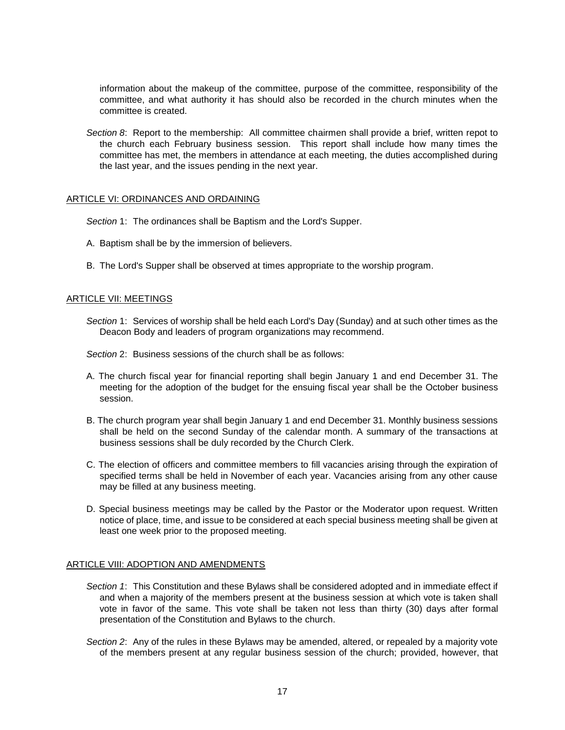information about the makeup of the committee, purpose of the committee, responsibility of the committee, and what authority it has should also be recorded in the church minutes when the committee is created.

*Section 8*: Report to the membership: All committee chairmen shall provide a brief, written repot to the church each February business session. This report shall include how many times the committee has met, the members in attendance at each meeting, the duties accomplished during the last year, and the issues pending in the next year.

### ARTICLE VI: ORDINANCES AND ORDAINING

- *Section* 1: The ordinances shall be Baptism and the Lord's Supper.
- A. Baptism shall be by the immersion of believers.
- B. The Lord's Supper shall be observed at times appropriate to the worship program.

## ARTICLE VII: MEETINGS

- *Section* 1: Services of worship shall be held each Lord's Day (Sunday) and at such other times as the Deacon Body and leaders of program organizations may recommend.
- *Section* 2: Business sessions of the church shall be as follows:
- A. The church fiscal year for financial reporting shall begin January 1 and end December 31. The meeting for the adoption of the budget for the ensuing fiscal year shall be the October business session.
- B. The church program year shall begin January 1 and end December 31. Monthly business sessions shall be held on the second Sunday of the calendar month. A summary of the transactions at business sessions shall be duly recorded by the Church Clerk.
- C. The election of officers and committee members to fill vacancies arising through the expiration of specified terms shall be held in November of each year. Vacancies arising from any other cause may be filled at any business meeting.
- D. Special business meetings may be called by the Pastor or the Moderator upon request. Written notice of place, time, and issue to be considered at each special business meeting shall be given at least one week prior to the proposed meeting.

#### ARTICLE VIII: ADOPTION AND AMENDMENTS

- *Section 1*: This Constitution and these Bylaws shall be considered adopted and in immediate effect if and when a majority of the members present at the business session at which vote is taken shall vote in favor of the same. This vote shall be taken not less than thirty (30) days after formal presentation of the Constitution and Bylaws to the church.
- *Section 2*: Any of the rules in these Bylaws may be amended, altered, or repealed by a majority vote of the members present at any regular business session of the church; provided, however, that